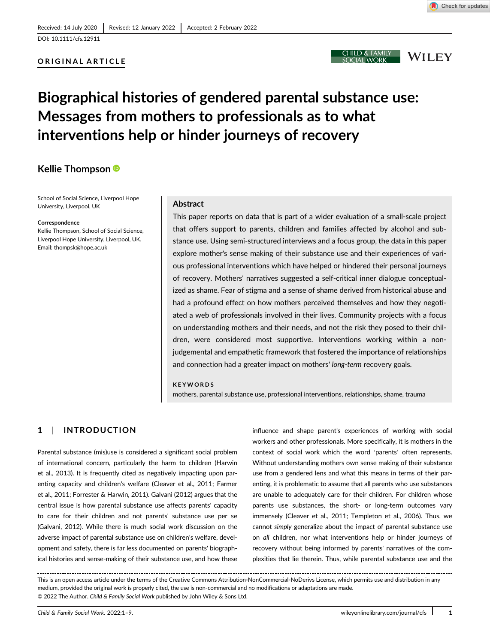## ORIGINAL ARTICLE

# Biographical histories of gendered parental substance use: Messages from mothers to professionals as to what interventions help or hinder journeys of recovery

## Kellie Thompson

School of Social Science, Liverpool Hope University, Liverpool, UK

### Correspondence

Kellie Thompson, School of Social Science, Liverpool Hope University, Liverpool, UK. Email: [thompsk@hope.ac.uk](mailto:thompsk@hope.ac.uk)

#### Abstract

This paper reports on data that is part of a wider evaluation of a small-scale project that offers support to parents, children and families affected by alcohol and substance use. Using semi-structured interviews and a focus group, the data in this paper explore mother's sense making of their substance use and their experiences of various professional interventions which have helped or hindered their personal journeys of recovery. Mothers' narratives suggested a self-critical inner dialogue conceptualized as shame. Fear of stigma and a sense of shame derived from historical abuse and had a profound effect on how mothers perceived themselves and how they negotiated a web of professionals involved in their lives. Community projects with a focus on understanding mothers and their needs, and not the risk they posed to their children, were considered most supportive. Interventions working within a nonjudgemental and empathetic framework that fostered the importance of relationships and connection had a greater impact on mothers' long-term recovery goals.

#### KEYWORDS

mothers, parental substance use, professional interventions, relationships, shame, trauma

## 1 | INTRODUCTION

Parental substance (mis)use is considered a significant social problem of international concern, particularly the harm to children (Harwin et al., 2013). It is frequently cited as negatively impacting upon parenting capacity and children's welfare (Cleaver et al., 2011; Farmer et al., 2011; Forrester & Harwin, 2011). Galvani (2012) argues that the central issue is how parental substance use affects parents' capacity to care for their children and not parents' substance use per se (Galvani, 2012). While there is much social work discussion on the adverse impact of parental substance use on children's welfare, development and safety, there is far less documented on parents' biographical histories and sense-making of their substance use, and how these

influence and shape parent's experiences of working with social workers and other professionals. More specifically, it is mothers in the context of social work which the word 'parents' often represents. Without understanding mothers own sense making of their substance use from a gendered lens and what this means in terms of their parenting, it is problematic to assume that all parents who use substances are unable to adequately care for their children. For children whose parents use substances, the short- or long-term outcomes vary immensely (Cleaver et al., 2011; Templeton et al., 2006). Thus, we cannot simply generalize about the impact of parental substance use on all children, nor what interventions help or hinder journeys of recovery without being informed by parents' narratives of the complexities that lie therein. Thus, while parental substance use and the

This is an open access article under the terms of the [Creative Commons Attribution-NonCommercial-NoDerivs](http://creativecommons.org/licenses/by-nc-nd/4.0/) License, which permits use and distribution in any medium, provided the original work is properly cited, the use is non-commercial and no modifications or adaptations are made. © 2022 The Author. Child & Family Social Work published by John Wiley & Sons Ltd.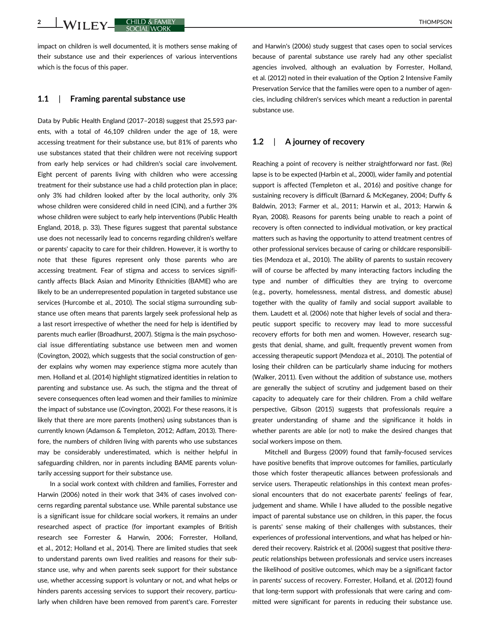2 WILEY CHILD & FAMILY

impact on children is well documented, it is mothers sense making of their substance use and their experiences of various interventions which is the focus of this paper.

#### 1.1 | Framing parental substance use

Data by Public Health England (2017–2018) suggest that 25,593 parents, with a total of 46,109 children under the age of 18, were accessing treatment for their substance use, but 81% of parents who use substances stated that their children were not receiving support from early help services or had children's social care involvement. Eight percent of parents living with children who were accessing treatment for their substance use had a child protection plan in place; only 3% had children looked after by the local authority, only 3% whose children were considered child in need (CIN), and a further 3% whose children were subject to early help interventions (Public Health England, 2018, p. 33). These figures suggest that parental substance use does not necessarily lead to concerns regarding children's welfare or parents' capacity to care for their children. However, it is worthy to note that these figures represent only those parents who are accessing treatment. Fear of stigma and access to services significantly affects Black Asian and Minority Ethnicities (BAME) who are likely to be an underrepresented population in targeted substance use services (Hurcombe et al., 2010). The social stigma surrounding substance use often means that parents largely seek professional help as a last resort irrespective of whether the need for help is identified by parents much earlier (Broadhurst, 2007). Stigma is the main psychosocial issue differentiating substance use between men and women (Covington, 2002), which suggests that the social construction of gender explains why women may experience stigma more acutely than men. Holland et al. (2014) highlight stigmatized identities in relation to parenting and substance use. As such, the stigma and the threat of severe consequences often lead women and their families to minimize the impact of substance use (Covington, 2002). For these reasons, it is likely that there are more parents (mothers) using substances than is currently known (Adamson & Templeton, 2012; Adfam, 2013). Therefore, the numbers of children living with parents who use substances may be considerably underestimated, which is neither helpful in safeguarding children, nor in parents including BAME parents voluntarily accessing support for their substance use.

In a social work context with children and families, Forrester and Harwin (2006) noted in their work that 34% of cases involved concerns regarding parental substance use. While parental substance use is a significant issue for childcare social workers, it remains an under researched aspect of practice (for important examples of British research see Forrester & Harwin, 2006; Forrester, Holland, et al., 2012; Holland et al., 2014). There are limited studies that seek to understand parents own lived realities and reasons for their substance use, why and when parents seek support for their substance use, whether accessing support is voluntary or not, and what helps or hinders parents accessing services to support their recovery, particularly when children have been removed from parent's care. Forrester and Harwin's (2006) study suggest that cases open to social services because of parental substance use rarely had any other specialist agencies involved, although an evaluation by Forrester, Holland, et al. (2012) noted in their evaluation of the Option 2 Intensive Family Preservation Service that the families were open to a number of agencies, including children's services which meant a reduction in parental substance use.

#### 1.2 | A journey of recovery

Reaching a point of recovery is neither straightforward nor fast. (Re) lapse is to be expected (Harbin et al., 2000), wider family and potential support is affected (Templeton et al., 2016) and positive change for sustaining recovery is difficult (Barnard & McKeganey, 2004; Duffy & Baldwin, 2013; Farmer et al., 2011; Harwin et al., 2013; Harwin & Ryan, 2008). Reasons for parents being unable to reach a point of recovery is often connected to individual motivation, or key practical matters such as having the opportunity to attend treatment centres of other professional services because of caring or childcare responsibilities (Mendoza et al., 2010). The ability of parents to sustain recovery will of course be affected by many interacting factors including the type and number of difficulties they are trying to overcome (e.g., poverty, homelessness, mental distress, and domestic abuse) together with the quality of family and social support available to them. Laudett et al. (2006) note that higher levels of social and therapeutic support specific to recovery may lead to more successful recovery efforts for both men and women. However, research suggests that denial, shame, and guilt, frequently prevent women from accessing therapeutic support (Mendoza et al., 2010). The potential of losing their children can be particularly shame inducing for mothers (Walker, 2011). Even without the addition of substance use, mothers are generally the subject of scrutiny and judgement based on their capacity to adequately care for their children. From a child welfare perspective, Gibson (2015) suggests that professionals require a greater understanding of shame and the significance it holds in whether parents are able (or not) to make the desired changes that social workers impose on them.

Mitchell and Burgess (2009) found that family-focused services have positive benefits that improve outcomes for families, particularly those which foster therapeutic alliances between professionals and service users. Therapeutic relationships in this context mean professional encounters that do not exacerbate parents' feelings of fear, judgement and shame. While I have alluded to the possible negative impact of parental substance use on children, in this paper, the focus is parents' sense making of their challenges with substances, their experiences of professional interventions, and what has helped or hindered their recovery. Raistrick et al. (2006) suggest that positive therapeutic relationships between professionals and service users increases the likelihood of positive outcomes, which may be a significant factor in parents' success of recovery. Forrester, Holland, et al. (2012) found that long-term support with professionals that were caring and committed were significant for parents in reducing their substance use.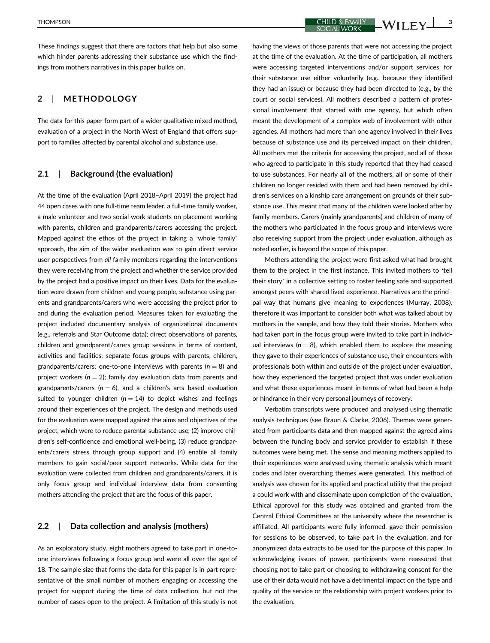$T$ HOMPSON  $\begin{array}{c|c|c|c|c} \hline \text{CHILD & \text{FAMILY} & \text{WII EY} \end{array}$   $\begin{array}{c|c|c|c} \hline \text{CHILD & \text{FAMILY} & \text{WII EY} \end{array}$ 

These findings suggest that there are factors that help but also some which hinder parents addressing their substance use which the findings from mothers narratives in this paper builds on.

## 2 | METHODOLOGY

The data for this paper form part of a wider qualitative mixed method, evaluation of a project in the North West of England that offers support to families affected by parental alcohol and substance use.

### 2.1 | Background (the evaluation)

At the time of the evaluation (April 2018–April 2019) the project had 44 open cases with one full-time team leader, a full-time family worker, a male volunteer and two social work students on placement working with parents, children and grandparents/carers accessing the project. Mapped against the ethos of the project in taking a 'whole family' approach, the aim of the wider evaluation was to gain direct service user perspectives from all family members regarding the interventions they were receiving from the project and whether the service provided by the project had a positive impact on their lives. Data for the evaluation were drawn from children and young people, substance using parents and grandparents/carers who were accessing the project prior to and during the evaluation period. Measures taken for evaluating the project included documentary analysis of organizational documents (e.g., referrals and Star Outcome data); direct observations of parents, children and grandparent/carers group sessions in terms of content, activities and facilities; separate focus groups with parents, children, grandparents/carers; one-to-one interviews with parents ( $n = 8$ ) and project workers ( $n = 2$ ); family day evaluation data from parents and grandparents/carers ( $n = 6$ ), and a children's arts based evaluation suited to younger children ( $n = 14$ ) to depict wishes and feelings around their experiences of the project. The design and methods used for the evaluation were mapped against the aims and objectives of the project, which were to reduce parental substance use; (2) improve children's self-confidence and emotional well-being, (3) reduce grandparents/carers stress through group support and (4) enable all family members to gain social/peer support networks. While data for the evaluation were collected from children and grandparents/carers, it is only focus group and individual interview data from consenting mothers attending the project that are the focus of this paper.

#### 2.2 | Data collection and analysis (mothers)

As an exploratory study, eight mothers agreed to take part in one-toone interviews following a focus group and were all over the age of 18. The sample size that forms the data for this paper is in part representative of the small number of mothers engaging or accessing the project for support during the time of data collection, but not the number of cases open to the project. A limitation of this study is not having the views of those parents that were not accessing the project at the time of the evaluation. At the time of participation, all mothers were accessing targeted interventions and/or support services, for their substance use either voluntarily (e.g., because they identified they had an issue) or because they had been directed to (e.g., by the court or social services). All mothers described a pattern of professional involvement that started with one agency, but which often meant the development of a complex web of involvement with other agencies. All mothers had more than one agency involved in their lives because of substance use and its perceived impact on their children. All mothers met the criteria for accessing the project, and all of those who agreed to participate in this study reported that they had ceased to use substances. For nearly all of the mothers, all or some of their children no longer resided with them and had been removed by children's services on a kinship care arrangement on grounds of their substance use. This meant that many of the children were looked after by family members. Carers (mainly grandparents) and children of many of the mothers who participated in the focus group and interviews were also receiving support from the project under evaluation, although as noted earlier, is beyond the scope of this paper.

Mothers attending the project were first asked what had brought them to the project in the first instance. This invited mothers to 'tell their story' in a collective setting to foster feeling safe and supported amongst peers with shared lived experience. Narratives are the principal way that humans give meaning to experiences (Murray, 2008), therefore it was important to consider both what was talked about by mothers in the sample, and how they told their stories. Mothers who had taken part in the focus group were invited to take part in individual interviews ( $n = 8$ ), which enabled them to explore the meaning they gave to their experiences of substance use, their encounters with professionals both within and outside of the project under evaluation, how they experienced the targeted project that was under evaluation and what these experiences meant in terms of what had been a help or hindrance in their very personal journeys of recovery.

Verbatim transcripts were produced and analysed using thematic analysis techniques (see Braun & Clarke, 2006). Themes were generated from participants data and then mapped against the agreed aims between the funding body and service provider to establish if these outcomes were being met. The sense and meaning mothers applied to their experiences were analysed using thematic analysis which meant codes and later overarching themes were generated. This method of analysis was chosen for its applied and practical utility that the project a could work with and disseminate upon completion of the evaluation. Ethical approval for this study was obtained and granted from the Central Ethical Committees at the university where the researcher is affiliated. All participants were fully informed, gave their permission for sessions to be observed, to take part in the evaluation, and for anonymized data extracts to be used for the purpose of this paper. In acknowledging issues of power, participants were reassured that choosing not to take part or choosing to withdrawing consent for the use of their data would not have a detrimental impact on the type and quality of the service or the relationship with project workers prior to the evaluation.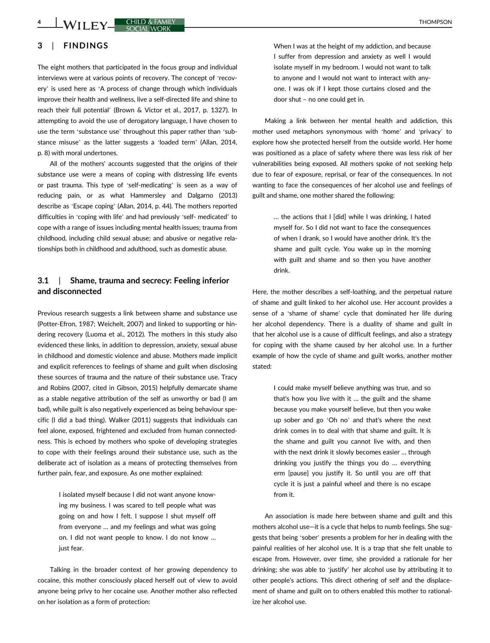# 3 | FINDINGS

The eight mothers that participated in the focus group and individual interviews were at various points of recovery. The concept of 'recovery' is used here as 'A process of change through which individuals improve their health and wellness, live a self-directed life and shine to reach their full potential' (Brown & Victor et al., 2017, p. 1327). In attempting to avoid the use of derogatory language, I have chosen to use the term 'substance use' throughout this paper rather than 'substance misuse' as the latter suggests a 'loaded term' (Allan, 2014, p. 8) with moral undertones.

All of the mothers' accounts suggested that the origins of their substance use were a means of coping with distressing life events or past trauma. This type of 'self-medicating' is seen as a way of reducing pain, or as what Hammersley and Dalgarno (2013) describe as 'Escape coping' (Allan, 2014, p. 44). The mothers reported difficulties in 'coping with life' and had previously 'self- medicated' to cope with a range of issues including mental health issues; trauma from childhood, including child sexual abuse; and abusive or negative relationships both in childhood and adulthood, such as domestic abuse.

## 3.1 | Shame, trauma and secrecy: Feeling inferior and disconnected

Previous research suggests a link between shame and substance use (Potter-Efron, 1987; Weichelt, 2007) and linked to supporting or hindering recovery (Luoma et al., 2012). The mothers in this study also evidenced these links, in addition to depression, anxiety, sexual abuse in childhood and domestic violence and abuse. Mothers made implicit and explicit references to feelings of shame and guilt when disclosing these sources of trauma and the nature of their substance use. Tracy and Robins (2007, cited in Gibson, 2015) helpfully demarcate shame as a stable negative attribution of the self as unworthy or bad (I am bad), while guilt is also negatively experienced as being behaviour specific (I did a bad thing). Walker (2011) suggests that individuals can feel alone, exposed, frightened and excluded from human connectedness. This is echoed by mothers who spoke of developing strategies to cope with their feelings around their substance use, such as the deliberate act of isolation as a means of protecting themselves from further pain, fear, and exposure. As one mother explained:

> I isolated myself because I did not want anyone knowing my business. I was scared to tell people what was going on and how I felt. I suppose I shut myself off from everyone … and my feelings and what was going on. I did not want people to know. I do not know … just fear.

Talking in the broader context of her growing dependency to cocaine, this mother consciously placed herself out of view to avoid anyone being privy to her cocaine use. Another mother also reflected on her isolation as a form of protection:

When I was at the height of my addiction, and because I suffer from depression and anxiety as well I would isolate myself in my bedroom. I would not want to talk to anyone and I would not want to interact with anyone. I was ok if I kept those curtains closed and the door shut – no one could get in.

Making a link between her mental health and addiction, this mother used metaphors synonymous with 'home' and 'privacy' to explore how she protected herself from the outside world. Her home was positioned as a place of safety where there was less risk of her vulnerabilities being exposed. All mothers spoke of not seeking help due to fear of exposure, reprisal, or fear of the consequences. In not wanting to face the consequences of her alcohol use and feelings of guilt and shame, one mother shared the following:

> … the actions that I [did] while I was drinking, I hated myself for. So I did not want to face the consequences of when I drank, so I would have another drink. It's the shame and guilt cycle. You wake up in the morning with guilt and shame and so then you have another drink.

Here, the mother describes a self-loathing, and the perpetual nature of shame and guilt linked to her alcohol use. Her account provides a sense of a 'shame of shame' cycle that dominated her life during her alcohol dependency. There is a duality of shame and guilt in that her alcohol use is a cause of difficult feelings, and also a strategy for coping with the shame caused by her alcohol use. In a further example of how the cycle of shame and guilt works, another mother stated:

> I could make myself believe anything was true, and so that's how you live with it … the guilt and the shame because you make yourself believe, but then you wake up sober and go 'Oh no' and that's where the next drink comes in to deal with that shame and guilt. It is the shame and guilt you cannot live with, and then with the next drink it slowly becomes easier … through drinking you justify the things you do … everything erm [pause] you justify it. So until you are off that cycle it is just a painful wheel and there is no escape from it.

An association is made here between shame and guilt and this mothers alcohol use—it is a cycle that helps to numb feelings. She suggests that being 'sober' presents a problem for her in dealing with the painful realities of her alcohol use. It is a trap that she felt unable to escape from. However, over time, she provided a rationale for her drinking; she was able to 'justify' her alcohol use by attributing it to other people's actions. This direct othering of self and the displacement of shame and guilt on to others enabled this mother to rationalize her alcohol use.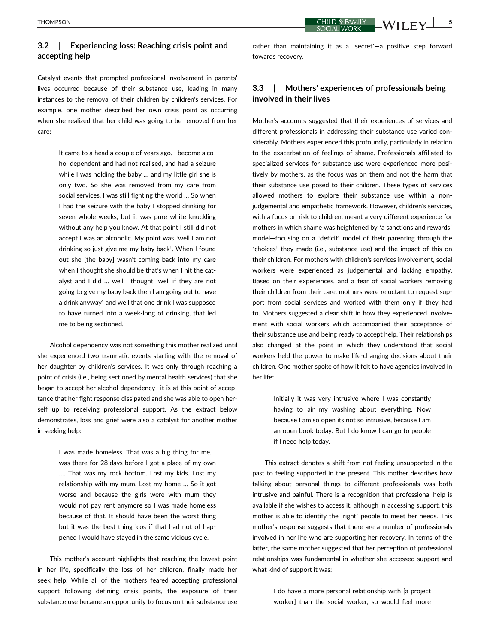## 3.2 | Experiencing loss: Reaching crisis point and accepting help

Catalyst events that prompted professional involvement in parents' lives occurred because of their substance use, leading in many instances to the removal of their children by children's services. For example, one mother described her own crisis point as occurring when she realized that her child was going to be removed from her care:

> It came to a head a couple of years ago. I become alcohol dependent and had not realised, and had a seizure while I was holding the baby ... and my little girl she is only two. So she was removed from my care from social services. I was still fighting the world … So when I had the seizure with the baby I stopped drinking for seven whole weeks, but it was pure white knuckling without any help you know. At that point I still did not accept I was an alcoholic. My point was 'well I am not drinking so just give me my baby back'. When I found out she [the baby] wasn't coming back into my care when I thought she should be that's when I hit the catalyst and I did … well I thought 'well if they are not going to give my baby back then I am going out to have a drink anyway' and well that one drink I was supposed to have turned into a week-long of drinking, that led me to being sectioned.

Alcohol dependency was not something this mother realized until she experienced two traumatic events starting with the removal of her daughter by children's services. It was only through reaching a point of crisis (i.e., being sectioned by mental health services) that she began to accept her alcohol dependency—it is at this point of acceptance that her fight response dissipated and she was able to open herself up to receiving professional support. As the extract below demonstrates, loss and grief were also a catalyst for another mother in seeking help:

> I was made homeless. That was a big thing for me. I was there for 28 days before I got a place of my own …. That was my rock bottom. Lost my kids. Lost my relationship with my mum. Lost my home … So it got worse and because the girls were with mum they would not pay rent anymore so I was made homeless because of that. It should have been the worst thing but it was the best thing 'cos if that had not of happened I would have stayed in the same vicious cycle.

This mother's account highlights that reaching the lowest point in her life, specifically the loss of her children, finally made her seek help. While all of the mothers feared accepting professional support following defining crisis points, the exposure of their substance use became an opportunity to focus on their substance use

THOMPSON CHILD & FAMILY **WILD AND SEXUAL SEXUAL SEXUAL SEXUAL SEXUAL SEXUAL SEXUAL SEXUAL SEXUAL SEXUAL SEXUAL SEXUAL SEXUAL SEXUAL SEXUAL SEXUAL SEXUAL SEXUAL SEXUAL SEXUAL SEXUAL SEXUAL SEXUAL SEXUAL SEXUAL SEXUAL SEXUAL** 

rather than maintaining it as a 'secret'—a positive step forward towards recovery.

## 3.3 | Mothers' experiences of professionals being involved in their lives

Mother's accounts suggested that their experiences of services and different professionals in addressing their substance use varied considerably. Mothers experienced this profoundly, particularly in relation to the exacerbation of feelings of shame. Professionals affiliated to specialized services for substance use were experienced more positively by mothers, as the focus was on them and not the harm that their substance use posed to their children. These types of services allowed mothers to explore their substance use within a nonjudgemental and empathetic framework. However, children's services, with a focus on risk to children, meant a very different experience for mothers in which shame was heightened by 'a sanctions and rewards' model—focusing on a 'deficit' model of their parenting through the 'choices' they made (i.e., substance use) and the impact of this on their children. For mothers with children's services involvement, social workers were experienced as judgemental and lacking empathy. Based on their experiences, and a fear of social workers removing their children from their care, mothers were reluctant to request support from social services and worked with them only if they had to. Mothers suggested a clear shift in how they experienced involvement with social workers which accompanied their acceptance of their substance use and being ready to accept help. Their relationships also changed at the point in which they understood that social workers held the power to make life-changing decisions about their children. One mother spoke of how it felt to have agencies involved in her life:

> Initially it was very intrusive where I was constantly having to air my washing about everything. Now because I am so open its not so intrusive, because I am an open book today. But I do know I can go to people if I need help today.

This extract denotes a shift from not feeling unsupported in the past to feeling supported in the present. This mother describes how talking about personal things to different professionals was both intrusive and painful. There is a recognition that professional help is available if she wishes to access it, although in accessing support, this mother is able to identify the 'right' people to meet her needs. This mother's response suggests that there are a number of professionals involved in her life who are supporting her recovery. In terms of the latter, the same mother suggested that her perception of professional relationships was fundamental in whether she accessed support and what kind of support it was:

> I do have a more personal relationship with [a project worker] than the social worker, so would feel more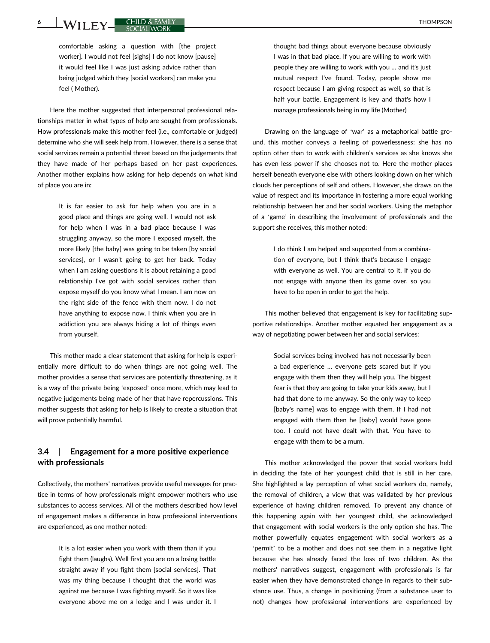<u>6 WII FY CHILD & FAMILY</u>

comfortable asking a question with [the project worker]. I would not feel [sighs] I do not know [pause] it would feel like I was just asking advice rather than being judged which they [social workers] can make you feel ( Mother).

Here the mother suggested that interpersonal professional relationships matter in what types of help are sought from professionals. How professionals make this mother feel (i.e., comfortable or judged) determine who she will seek help from. However, there is a sense that social services remain a potential threat based on the judgements that they have made of her perhaps based on her past experiences. Another mother explains how asking for help depends on what kind of place you are in:

> It is far easier to ask for help when you are in a good place and things are going well. I would not ask for help when I was in a bad place because I was struggling anyway, so the more I exposed myself, the more likely [the baby] was going to be taken [by social services], or I wasn't going to get her back. Today when I am asking questions it is about retaining a good relationship I've got with social services rather than expose myself do you know what I mean. I am now on the right side of the fence with them now. I do not have anything to expose now. I think when you are in addiction you are always hiding a lot of things even from yourself.

This mother made a clear statement that asking for help is experientially more difficult to do when things are not going well. The mother provides a sense that services are potentially threatening, as it is a way of the private being 'exposed' once more, which may lead to negative judgements being made of her that have repercussions. This mother suggests that asking for help is likely to create a situation that will prove potentially harmful.

## 3.4 | Engagement for a more positive experience with professionals

Collectively, the mothers' narratives provide useful messages for practice in terms of how professionals might empower mothers who use substances to access services. All of the mothers described how level of engagement makes a difference in how professional interventions are experienced, as one mother noted:

> It is a lot easier when you work with them than if you fight them (laughs). Well first you are on a losing battle straight away if you fight them [social services]. That was my thing because I thought that the world was against me because I was fighting myself. So it was like everyone above me on a ledge and I was under it. I

thought bad things about everyone because obviously I was in that bad place. If you are willing to work with people they are willing to work with you … and it's just mutual respect I've found. Today, people show me respect because I am giving respect as well, so that is half your battle. Engagement is key and that's how I manage professionals being in my life (Mother)

Drawing on the language of 'war' as a metaphorical battle ground, this mother conveys a feeling of powerlessness: she has no option other than to work with children's services as she knows she has even less power if she chooses not to. Here the mother places herself beneath everyone else with others looking down on her which clouds her perceptions of self and others. However, she draws on the value of respect and its importance in fostering a more equal working relationship between her and her social workers. Using the metaphor of a 'game' in describing the involvement of professionals and the support she receives, this mother noted:

> I do think I am helped and supported from a combination of everyone, but I think that's because I engage with everyone as well. You are central to it. If you do not engage with anyone then its game over, so you have to be open in order to get the help.

This mother believed that engagement is key for facilitating supportive relationships. Another mother equated her engagement as a way of negotiating power between her and social services:

> Social services being involved has not necessarily been a bad experience … everyone gets scared but if you engage with them then they will help you. The biggest fear is that they are going to take your kids away, but I had that done to me anyway. So the only way to keep [baby's name] was to engage with them. If I had not engaged with them then he [baby] would have gone too. I could not have dealt with that. You have to engage with them to be a mum.

This mother acknowledged the power that social workers held in deciding the fate of her youngest child that is still in her care. She highlighted a lay perception of what social workers do, namely, the removal of children, a view that was validated by her previous experience of having children removed. To prevent any chance of this happening again with her youngest child, she acknowledged that engagement with social workers is the only option she has. The mother powerfully equates engagement with social workers as a 'permit' to be a mother and does not see them in a negative light because she has already faced the loss of two children. As the mothers' narratives suggest, engagement with professionals is far easier when they have demonstrated change in regards to their substance use. Thus, a change in positioning (from a substance user to not) changes how professional interventions are experienced by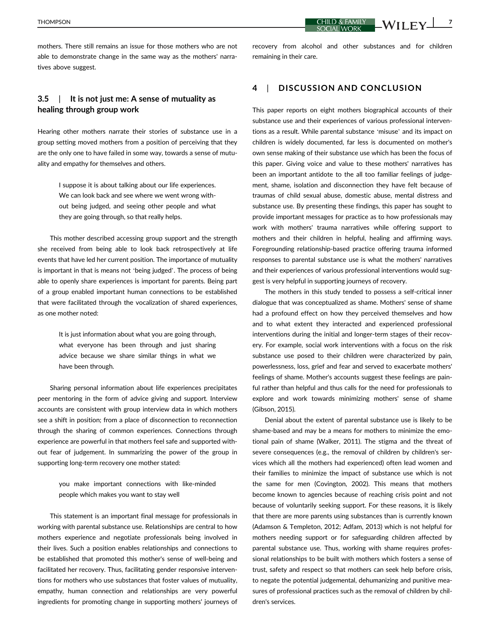mothers. There still remains an issue for those mothers who are not able to demonstrate change in the same way as the mothers' narratives above suggest.

## 3.5 | It is not just me: A sense of mutuality as healing through group work

Hearing other mothers narrate their stories of substance use in a group setting moved mothers from a position of perceiving that they are the only one to have failed in some way, towards a sense of mutuality and empathy for themselves and others.

> I suppose it is about talking about our life experiences. We can look back and see where we went wrong without being judged, and seeing other people and what they are going through, so that really helps.

This mother described accessing group support and the strength she received from being able to look back retrospectively at life events that have led her current position. The importance of mutuality is important in that is means not 'being judged'. The process of being able to openly share experiences is important for parents. Being part of a group enabled important human connections to be established that were facilitated through the vocalization of shared experiences, as one mother noted:

> It is just information about what you are going through, what everyone has been through and just sharing advice because we share similar things in what we have been through.

Sharing personal information about life experiences precipitates peer mentoring in the form of advice giving and support. Interview accounts are consistent with group interview data in which mothers see a shift in position; from a place of disconnection to reconnection through the sharing of common experiences. Connections through experience are powerful in that mothers feel safe and supported without fear of judgement. In summarizing the power of the group in supporting long-term recovery one mother stated:

> you make important connections with like-minded people which makes you want to stay well

This statement is an important final message for professionals in working with parental substance use. Relationships are central to how mothers experience and negotiate professionals being involved in their lives. Such a position enables relationships and connections to be established that promoted this mother's sense of well-being and facilitated her recovery. Thus, facilitating gender responsive interventions for mothers who use substances that foster values of mutuality, empathy, human connection and relationships are very powerful ingredients for promoting change in supporting mothers' journeys of recovery from alcohol and other substances and for children remaining in their care.

### 4 | DISCUSSION AND CONCLUSION

This paper reports on eight mothers biographical accounts of their substance use and their experiences of various professional interventions as a result. While parental substance 'misuse' and its impact on children is widely documented, far less is documented on mother's own sense making of their substance use which has been the focus of this paper. Giving voice and value to these mothers' narratives has been an important antidote to the all too familiar feelings of judgement, shame, isolation and disconnection they have felt because of traumas of child sexual abuse, domestic abuse, mental distress and substance use. By presenting these findings, this paper has sought to provide important messages for practice as to how professionals may work with mothers' trauma narratives while offering support to mothers and their children in helpful, healing and affirming ways. Foregrounding relationship-based practice offering trauma informed responses to parental substance use is what the mothers' narratives and their experiences of various professional interventions would suggest is very helpful in supporting journeys of recovery.

The mothers in this study tended to possess a self-critical inner dialogue that was conceptualized as shame. Mothers' sense of shame had a profound effect on how they perceived themselves and how and to what extent they interacted and experienced professional interventions during the initial and longer-term stages of their recovery. For example, social work interventions with a focus on the risk substance use posed to their children were characterized by pain, powerlessness, loss, grief and fear and served to exacerbate mothers' feelings of shame. Mother's accounts suggest these feelings are painful rather than helpful and thus calls for the need for professionals to explore and work towards minimizing mothers' sense of shame (Gibson, 2015).

Denial about the extent of parental substance use is likely to be shame-based and may be a means for mothers to minimize the emotional pain of shame (Walker, 2011). The stigma and the threat of severe consequences (e.g., the removal of children by children's services which all the mothers had experienced) often lead women and their families to minimize the impact of substance use which is not the same for men (Covington, 2002). This means that mothers become known to agencies because of reaching crisis point and not because of voluntarily seeking support. For these reasons, it is likely that there are more parents using substances than is currently known (Adamson & Templeton, 2012; Adfam, 2013) which is not helpful for mothers needing support or for safeguarding children affected by parental substance use. Thus, working with shame requires professional relationships to be built with mothers which fosters a sense of trust, safety and respect so that mothers can seek help before crisis, to negate the potential judgemental, dehumanizing and punitive measures of professional practices such as the removal of children by children's services.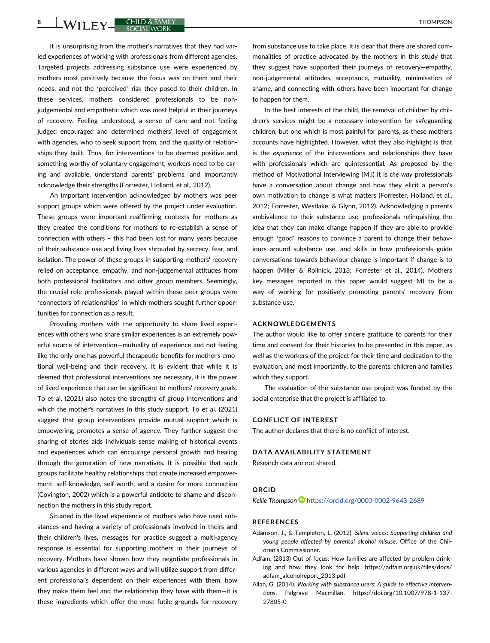8 WILEY CHILD & FAMILY

It is unsurprising from the mother's narratives that they had varied experiences of working with professionals from different agencies. Targeted projects addressing substance use were experienced by mothers most positively because the focus was on them and their needs, and not the 'perceived' risk they posed to their children. In these services, mothers considered professionals to be nonjudgemental and empathetic which was most helpful in their journeys of recovery. Feeling understood, a sense of care and not feeling judged encouraged and determined mothers' level of engagement with agencies, who to seek support from, and the quality of relationships they built. Thus, for interventions to be deemed positive and something worthy of voluntary engagement, workers need to be caring and available, understand parents' problems, and importantly acknowledge their strengths (Forrester, Holland, et al., 2012).

An important intervention acknowledged by mothers was peer support groups which were offered by the project under evaluation. These groups were important reaffirming contexts for mothers as they created the conditions for mothers to re-establish a sense of connection with others – this had been lost for many years because of their substance use and living lives shrouded by secrecy, fear, and isolation. The power of these groups in supporting mothers' recovery relied on acceptance, empathy, and non-judgemental attitudes from both professional facilitators and other group members. Seemingly, the crucial role professionals played within these peer groups were 'connectors of relationships' in which mothers sought further opportunities for connection as a result.

Providing mothers with the opportunity to share lived experiences with others who share similar experiences is an extremely powerful source of intervention—mutuality of experience and not feeling like the only one has powerful therapeutic benefits for mother's emotional well-being and their recovery. It is evident that while it is deemed that professional interventions are necessary, it is the power of lived experience that can be significant to mothers' recovery goals. To et al. (2021) also notes the strengths of group interventions and which the mother's narratives in this study support. To et al. (2021) suggest that group interventions provide mutual support which is empowering, promotes a sense of agency. They further suggest the sharing of stories aids individuals sense making of historical events and experiences which can encourage personal growth and healing through the generation of new narratives. It is possible that such groups facilitate healthy relationships that create increased empowerment, self-knowledge, self-worth, and a desire for more connection (Covington, 2002) which is a powerful antidote to shame and disconnection the mothers in this study report.

Situated in the lived experience of mothers who have used substances and having a variety of professionals involved in theirs and their children's lives, messages for practice suggest a multi-agency response is essential for supporting mothers in their journeys of recovery. Mothers have shown how they negotiate professionals in various agencies in different ways and will utilize support from different professional's dependent on their experiences with them, how they make them feel and the relationship they have with them—it is these ingredients which offer the most futile grounds for recovery

from substance use to take place. It is clear that there are shared commonalities of practice advocated by the mothers in this study that they suggest have supported their journeys of recovery—empathy, non-judgemental attitudes, acceptance, mutuality, minimisation of shame, and connecting with others have been important for change to happen for them.

In the best interests of the child, the removal of children by children's services might be a necessary intervention for safeguarding children, but one which is most painful for parents, as these mothers accounts have highlighted. However, what they also highlight is that is the experience of the interventions and relationships they have with professionals which are quintessential. As proposed by the method of Motivational Interviewing (M.I) it is the way professionals have a conversation about change and how they elicit a person's own motivation to change is what matters (Forrester, Holland, et al., 2012; Forrester, Westlake, & Glynn, 2012). Acknowledging a parents ambivalence to their substance use, professionals relinquishing the idea that they can make change happen if they are able to provide enough 'good' reasons to convince a parent to change their behaviours around substance use, and skills in how professionals guide conversations towards behaviour change is important if change is to happen (Miller & Rollnick, 2013; Forrester et al., 2014). Mothers key messages reported in this paper would suggest MI to be a way of working for positively promoting parents' recovery from substance use.

#### ACKNOWLEDGEMENTS

The author would like to offer sincere gratitude to parents for their time and consent for their histories to be presented in this paper, as well as the workers of the project for their time and dedication to the evaluation, and most importantly, to the parents, children and families which they support.

The evaluation of the substance use project was funded by the social enterprise that the project is affiliated to.

#### CONFLICT OF INTEREST

The author declares that there is no conflict of interest.

#### DATA AVAILABILITY STATEMENT

Research data are not shared.

#### ORCID

Kellie Thompson D<https://orcid.org/0000-0002-9643-2689>

#### REFERENCES

- Adamson, J., & Templeton, L. (2012). Silent voices: Supporting children and young people affected by parental alcohol misuse. Office of the Children's Commissioner.
- Adfam. (2013) Out of focus: How families are affected by problem drinking and how they look for help. [https://adfam.org.uk/files/docs/](https://adfam.org.uk/files/docs/adfam_alcoholreport_2013.pdf) [adfam\\_alcoholreport\\_2013.pdf](https://adfam.org.uk/files/docs/adfam_alcoholreport_2013.pdf)
- Allan, G. (2014). Working with substance users: A guide to effective interventions. Palgrave Macmillan. [https://doi.org/10.1007/978-1-137-](https://doi.org/10.1007/978-1-137-27805-0) [27805-0](https://doi.org/10.1007/978-1-137-27805-0)